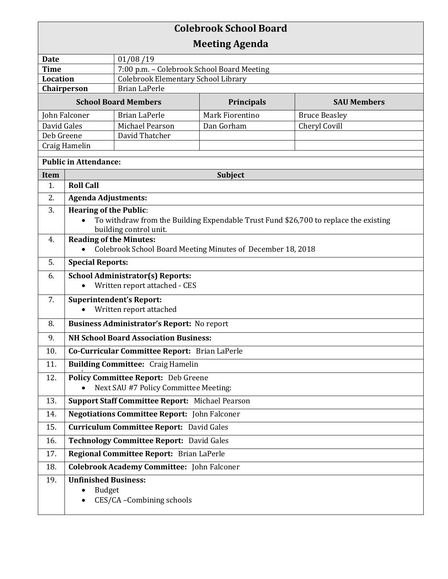| <b>Colebrook School Board</b> |                                                                                                   |                                                        |                   |                                                                                      |  |
|-------------------------------|---------------------------------------------------------------------------------------------------|--------------------------------------------------------|-------------------|--------------------------------------------------------------------------------------|--|
| <b>Meeting Agenda</b>         |                                                                                                   |                                                        |                   |                                                                                      |  |
| <b>Date</b>                   |                                                                                                   | 01/08/19                                               |                   |                                                                                      |  |
| <b>Time</b>                   |                                                                                                   | 7:00 p.m. - Colebrook School Board Meeting             |                   |                                                                                      |  |
| <b>Location</b>               |                                                                                                   | <b>Colebrook Elementary School Library</b>             |                   |                                                                                      |  |
| Chairperson                   |                                                                                                   | <b>Brian LaPerle</b>                                   |                   |                                                                                      |  |
| <b>School Board Members</b>   |                                                                                                   |                                                        | <b>Principals</b> | <b>SAU Members</b>                                                                   |  |
| John Falconer                 |                                                                                                   | <b>Brian LaPerle</b>                                   | Mark Fiorentino   | <b>Bruce Beasley</b>                                                                 |  |
| David Gales                   |                                                                                                   | Michael Pearson                                        | Dan Gorham        | Cheryl Covill                                                                        |  |
| Deb Greene                    |                                                                                                   | David Thatcher                                         |                   |                                                                                      |  |
| Craig Hamelin                 |                                                                                                   |                                                        |                   |                                                                                      |  |
| <b>Public in Attendance:</b>  |                                                                                                   |                                                        |                   |                                                                                      |  |
| <b>Item</b><br>1.             | <b>Subject</b><br><b>Roll Call</b>                                                                |                                                        |                   |                                                                                      |  |
| 2.                            | <b>Agenda Adjustments:</b>                                                                        |                                                        |                   |                                                                                      |  |
| 3.                            | <b>Hearing of the Public:</b>                                                                     |                                                        |                   |                                                                                      |  |
|                               |                                                                                                   |                                                        |                   | To withdraw from the Building Expendable Trust Fund \$26,700 to replace the existing |  |
|                               |                                                                                                   | building control unit.                                 |                   |                                                                                      |  |
| 4.                            | <b>Reading of the Minutes:</b>                                                                    |                                                        |                   |                                                                                      |  |
|                               | Colebrook School Board Meeting Minutes of December 18, 2018                                       |                                                        |                   |                                                                                      |  |
| 5.                            | <b>Special Reports:</b>                                                                           |                                                        |                   |                                                                                      |  |
| 6.                            | <b>School Administrator(s) Reports:</b>                                                           |                                                        |                   |                                                                                      |  |
|                               | Written report attached - CES                                                                     |                                                        |                   |                                                                                      |  |
| 7.                            | <b>Superintendent's Report:</b><br>Written report attached                                        |                                                        |                   |                                                                                      |  |
| 8.                            |                                                                                                   |                                                        |                   |                                                                                      |  |
| 9.                            | <b>Business Administrator's Report:</b> No report<br><b>NH School Board Association Business:</b> |                                                        |                   |                                                                                      |  |
| 10.                           | Co-Curricular Committee Report: Brian LaPerle                                                     |                                                        |                   |                                                                                      |  |
| 11.                           | <b>Building Committee: Craig Hamelin</b>                                                          |                                                        |                   |                                                                                      |  |
| 12.                           | <b>Policy Committee Report:</b> Deb Greene                                                        |                                                        |                   |                                                                                      |  |
|                               |                                                                                                   | Next SAU #7 Policy Committee Meeting:                  |                   |                                                                                      |  |
| 13.                           |                                                                                                   | <b>Support Staff Committee Report: Michael Pearson</b> |                   |                                                                                      |  |
| 14.                           | <b>Negotiations Committee Report:</b> John Falconer                                               |                                                        |                   |                                                                                      |  |
| 15.                           | <b>Curriculum Committee Report:</b> David Gales                                                   |                                                        |                   |                                                                                      |  |
| 16.                           | Technology Committee Report: David Gales                                                          |                                                        |                   |                                                                                      |  |
| 17.                           | Regional Committee Report: Brian LaPerle                                                          |                                                        |                   |                                                                                      |  |
| 18.                           | <b>Colebrook Academy Committee:</b> John Falconer                                                 |                                                        |                   |                                                                                      |  |
| 19.                           | <b>Unfinished Business:</b><br><b>Budget</b>                                                      | CES/CA-Combining schools                               |                   |                                                                                      |  |